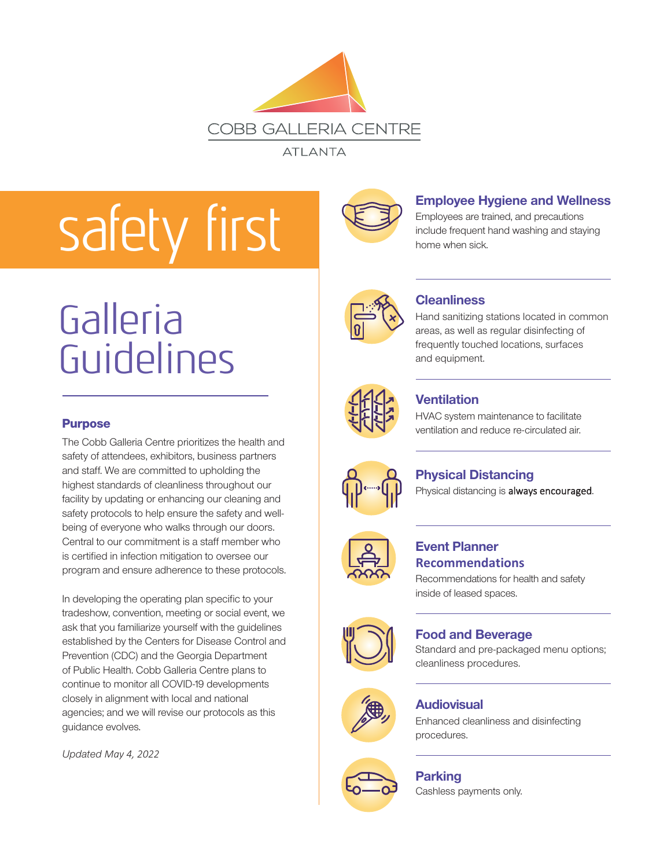

**ATLANTA** 

# safety first



#### **Employee Hygiene and Wellness**

Employees are trained, and precautions include frequent hand washing and staying home when sick.



#### **Cleanliness**

Hand sanitizing stations located in common areas, as well as regular disinfecting of frequently touched locations, surfaces and equipment.



#### **Ventilation**

HVAC system maintenance to facilitate ventilation and reduce re-circulated air.



### **Physical Distancing**

Physical distancing is always encouraged.



#### **Event Planner Guidance**

Recommendations for health and safety inside of leased spaces.



#### **Food and Beverage**

Standard and pre-packaged menu options; cleanliness procedures.



#### **Audiovisual**

Enhanced cleanliness and disinfecting procedures.

#### **Parking**

Cashless payments only.

## Galleria Guidelines

#### **Purpose**

The Cobb Galleria Centre prioritizes the health and safety of attendees, exhibitors, business partners and staff. We are committed to upholding the highest standards of cleanliness throughout our facility by updating or enhancing our cleaning and safety protocols to help ensure the safety and wellbeing of everyone who walks through our doors. Central to our commitment is a staff member who is certified in infection mitigation to oversee our program and ensure adherence to these protocols.

In developing the operating plan specific to your tradeshow, convention, meeting or social event, we ask that you familiarize yourself with the guidelines established by the Centers for Disease Control and Prevention (CDC) and the Georgia Department of Public Health. Cobb Galleria Centre plans to continue to monitor all COVID-19 developments closely in alignment with local and national agencies; and we will revise our protocols as this guidance evolves.

*Updated May 4, 2022*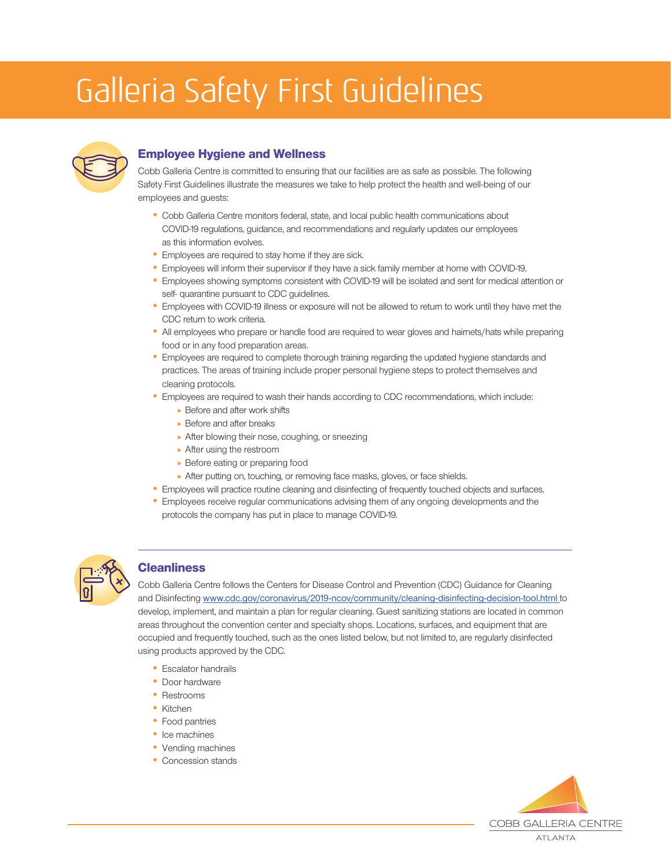### Galleria Safety First Guidelines



#### Employee Hygiene and Wellness

Cobb Galleria Centre is committed to ensuring that our facilities are as safe as possible. The following Safety First Guidelines illustrate the measures we take to help protect the health and well-being of our employees and guests:

- Cobb Galleria Centre monitors federal, state, and local public health communications about COVID-19 regulations, guidance, and recommendations and regularly updates our employees as this information evolves.
- Employees are required to stay home if they are sick.
- Employees will inform their supervisor if they have a sick family member at home with COVID-19.
- Employees showing symptoms consistent with COVID-19 will be isolated and sent for medical attention or self- quarantine pursuant to CDC guidelines.
- Employees with COVID-19 illness or exposure will not be allowed to return to work until they have met the CDC return to work criteria.
- All employees who prepare or handle food are required to wear gloves and hairnets/hats while preparing food or in any food preparation areas.
- Employees are required to complete thorough training regarding the updated hygiene standards and practices. The areas of training include proper personal hygiene steps to protect themselves and cleaning protocols.
- Employees are required to wash their hands according to CDC recommendations, which include:
	- ▶ Before and after work shifts
	- $\triangleright$  Before and after breaks
	- After blowing their nose, coughing, or sneezing
	- ▶ After using the restroom
	- **Before eating or preparing food**
	- After putting on, touching, or removing face masks, gloves, or face shields.
- Employees will practice routine cleaning and disinfecting of frequently touched objects and surfaces.
- Employees receive regular communications advising them of any ongoing developments and the protocols the company has put in place to manage COVID-19.



#### **Cleanliness**

Cobb Galleria Centre follows the Centers for Disease Control and Prevention (CDC) Guidance for Cleaning and Disinfecting [www.cdc.gov/coronavirus/2019-ncov/community/cleaning-disinfecting-decision-tool.html](https://www.cdc.gov/coronavirus/2019-ncov/community/disinfecting-building-facility.html?CDC_AA_refVal=https%3A%2F%2Fwww.cdc.gov%2Fcoronavirus%2F2019-ncov%2Fcommunity%2Fcleaning-disinfecting-decision-tool.html) to develop, implement, and maintain a plan for regular cleaning. Guest sanitizing stations are located in common areas throughout the convention center and specialty shops. Locations, surfaces, and equipment that are occupied and frequently touched, such as the ones listed below, but not limited to, are regularly disinfected using products approved by the CDC.

- Escalator handrails
- Door hardware
- Restrooms
- Kitchen
- Food pantries
- Ice machines
- Vending machines
- Concession stands